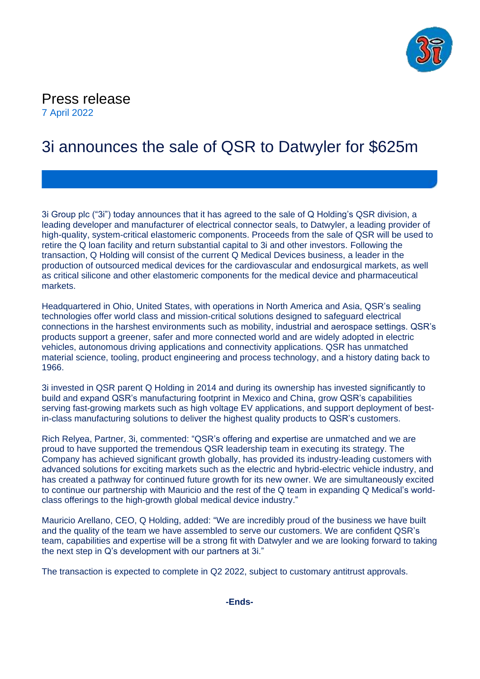

Press release 7 April 2022

# 3i announces the sale of QSR to Datwyler for \$625m

3i Group plc ("3i") today announces that it has agreed to the sale of Q Holding's QSR division, a leading developer and manufacturer of electrical connector seals, to Datwyler, a leading provider of high-quality, system-critical elastomeric components. Proceeds from the sale of QSR will be used to retire the Q loan facility and return substantial capital to 3i and other investors. Following the transaction, Q Holding will consist of the current Q Medical Devices business, a leader in the production of outsourced medical devices for the cardiovascular and endosurgical markets, as well as critical silicone and other elastomeric components for the medical device and pharmaceutical markets.

Headquartered in Ohio, United States, with operations in North America and Asia, QSR's sealing technologies offer world class and mission-critical solutions designed to safeguard electrical connections in the harshest environments such as mobility, industrial and aerospace settings. QSR's products support a greener, safer and more connected world and are widely adopted in electric vehicles, autonomous driving applications and connectivity applications. QSR has unmatched material science, tooling, product engineering and process technology, and a history dating back to 1966.

3i invested in QSR parent Q Holding in 2014 and during its ownership has invested significantly to build and expand QSR's manufacturing footprint in Mexico and China, grow QSR's capabilities serving fast-growing markets such as high voltage EV applications, and support deployment of bestin-class manufacturing solutions to deliver the highest quality products to QSR's customers.

Rich Relyea, Partner, 3i, commented: "QSR's offering and expertise are unmatched and we are proud to have supported the tremendous QSR leadership team in executing its strategy. The Company has achieved significant growth globally, has provided its industry-leading customers with advanced solutions for exciting markets such as the electric and hybrid-electric vehicle industry, and has created a pathway for continued future growth for its new owner. We are simultaneously excited to continue our partnership with Mauricio and the rest of the Q team in expanding Q Medical's worldclass offerings to the high-growth global medical device industry."

Mauricio Arellano, CEO, Q Holding, added: "We are incredibly proud of the business we have built and the quality of the team we have assembled to serve our customers. We are confident QSR's team, capabilities and expertise will be a strong fit with Datwyler and we are looking forward to taking the next step in Q's development with our partners at 3i."

The transaction is expected to complete in Q2 2022, subject to customary antitrust approvals.

**-Ends-**